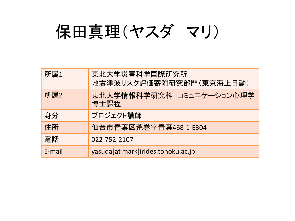# 保田真理(ヤスダ マリ)

| 所属1    | 東北大学災害科学国際研究所<br>地震津波リスク評価寄附研究部門(東京海上日動) |
|--------|------------------------------------------|
| 所属2    | 東北大学情報科学研究科 コミュニケーション心理学<br>博士課程         |
| 身分     | プロジェクト講師                                 |
| 住所     | 仙台市青葉区荒巻字青葉468-1-E304                    |
| 電話     | 022-752-2107                             |
| E-mail | yasuda[at mark]irides.tohoku.ac.jp       |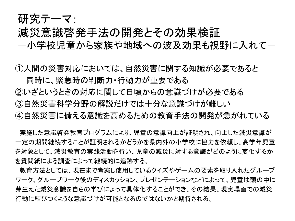#### 研究テーマ:

#### 減災意識啓発手法の開発とその効果検証

―小学校児童から家族や地域への波及効果も視野に入れて―

①人間の災害対応においては、自然災害に関する知識が必要であると 同時に、緊急時の判断力・行動力が重要である

②いざというときの対応に関して日頃からの意識づけが必要である

③自然災害科学分野の解説だけでは十分な意識づけが難しい

④自然災害に備える意識を高めるための教育手法の開発が急がれている

実施した意識啓発教育プログラムにより、児童の意識向上が証明され、向上した減災意識が 一定の期間継続することが証明されるかどうかを県内外の小学校に協力を依頼し、高学年児童 を対象として、減災教育の実践活動を行い、児童の減災に対する意識がどのように変化するか を質問紙による調査によって継続的に追跡する。

教育方法としては、現在まで考案し使用しているクイズやゲームの要素を取り入れたグループ ワーク、グループワーク後のディスカッション、プレゼンテーションなどによって、児童は頭の中に 芽生えた減災意識を自らの学びによって具体化することができ、その結果、現実場面での減災 行動に結びつくような意識づけが可能となるのではないかと期待される。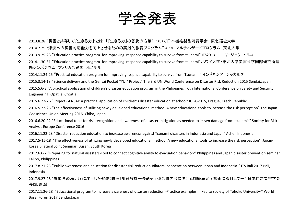

- 2013.8.28 "災害と共存して『生きる力』"とは 「『生きる力』の普及の方策について日本繊維製品消費学会 東北福祉大学
- 2014.7.25 "津波への災害対応能力を向上させるための実践的教育プログラム" APRU,マルチハザードプログラム 東北大学
- 2013.9.25-28 "Education practice program for improving response capability to survive from tsunami" ITS2013 ギョジェク トルコ
- 2014.1.30-31 "Education practice program for improving response capability to survive from tsunami"ハワイ大学・東北大学災害科学国際研究所連 携シンポジウム アメリカ合衆国 ホノルル
- 2014.11.24-25 "Practical education program for improving respnce capability to survive from Tsunami " インドネシア ジャカルタ
- 2015.3.14-18 "Science delivery and the Gensai Pocket "YUI" Project" The 3rd UN World Conference on Disaster Risk Reduction 2015 Sendai,Japan
- 2015.5.6-8 "A practical application of children's disaster education program in the Philippines" 6th International Conference on Safety and Security Engineering, Opatija, Croatia
- 2015.6.22-7.2"Project GENSAI: A practical application of children's disaster education at school" IUGG2015, Prague, Czech Republic
- 2016.5.22-26 "The effectiveness of utilizing newly developed educational method: A new educational tools to increase the risk perception" The Japan Geoscience Union Meeting 2016, Chiba, Japan
- 2016.6.20-22 "Educational tools for risk recognition and awareness of disaster mitigation as needed to lessen damage from tsunamis" Society for Risk Analysis Europe Conference 2016
- 2016.11.22-23 "Disaster reduction education to increase awareness against Tsunami disasters in Indonesia and Japan" Ache, Indonesia
- 2017.5-15-18 "The effectiveness of utilizing newly developed educational method: A new educational tools to increase the risk perception" Japan-Korea Bilateral Joint Seminar, Busan, South Korea
- 2017.6.6-7 "Preparing for natural disasters-Tool to connect cognitive ability to evacuation behavior-" Philippines and Japan disaster prevention seminar Kalibo, Philippines
- 2017.8.21-25 "Public awareness and education for disaster risk reduction-Bilateral cooperation between Japan and Indonesia-" ITS Bali 2017 Bali, Indonesia
- 2017.9.27-28 "参加者の満足度に注目した避難(防災)訓練設計ー長命ヶ丘連合町内会における訓練満足度調査に着目してー" 日本自然災害学会 長岡, 新潟
- 2017.11.26-28 "Educational program to increase awareness of disaster reduction -Practice examples linked to society of Tohoku University-" World Bosai Forum2017 Sendai,Japan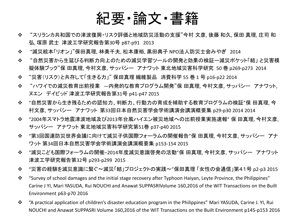### 紀要・論文・書籍

- "スリランカ共和国での津波復興・リスク評価と地域防災活動の支援"今村 文彦, 後藤 和久, 保田 真理, 庄司 和 弘, 塚原 武士 津波工学研究報告第30号 p87-p91 2013
- "減災絵本「リオン」"保田真理, 林美千夫, 松本康裕, 黒田典子 NPO法人防災士会みやぎ 2014
- "自然災害から生延びる判断力向上のための減災学習ツールの開発と効果の検証ー減災ポケット「結」 と災害模 擬体験ブック"保 田真理, 今村文彦, サッパシー アナワット 東北地域災害科学研究 50 巻 p269-p273 2014
- "災害(リスク)と共存して「生きる力」" 保田真理 繊維製品 消費科学 55 巻 1 号 p16-p22 2014
- "ハワイでの減災教育出前授業 —内発的な教育プログラム開発"保 田真理, 今村文彦, サッパシー アナワット, ヌエン デイビッド 津波工学研究報告第31号 p41-p47 2015
- ◆ "自然災害から生き残るための認知力、判断力、行動力の育成を補助する教育プログラムの検証"保 田真理, 今 村文彦, サッパシー アナワット 第33回日本自然災害学会学術講演会講演概要集 p29-p30 2014 2014
- ❖ "2004年スマトラ地震津波地域及び2013年台風ハイエン被災地域への出前授業実施速報" 保 田真理, 今村文彦, サッパシー アナワット 東北地域災害科学研究第51巻 p37-p40 2015
- ◆ "第3回国連防災世界会議に向けて減災子供国際フォーラムの開催報告"保 田真理, 今村文彦, サッパシー アナ ワット 第34回日本自然災害学会学術講演会講演概要集 p153-154 2015
- "減災こども国際フォーラムの開催–2014年度減災意識啓発の活動"保 田真理, 今村文彦, サッパシー アナワット 津波工学研究報告第32号 p293-p299 2015
- "災害の経験を減災意識に繋ぐ〜減災「結」プロジェクトの実践〜"保田真理 「女性の会通信」第41号 p2-p3 2015
- \* "Survey of school damages and the initial stage recovery after Typhoon Haiyan, Leyte Province, the Philippines" Carine J YI, Mari YASUDA, Rui NOUCHI and Anawat SUPPASRIVolume 160,2016 of the WIT Transactions on the Built Environment p63-p70 2016
- "A practical application of children's disaster education program in the Philippines" Mari YASUDA, Carine J. YI, Rui NOUCHI and Anawat SUPPASRI Volume 160,2016 of the WIT Transactions on the Built Environment p145-p153 2016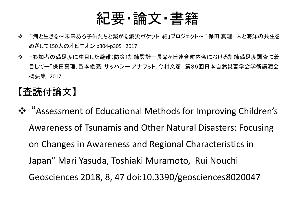## 紀要・論文・書籍

- ◆ "海と生きる〜未来ある子供たちと繋がる減災ポケット「結」プロジェクト〜"保田 真理 人と海洋の共生を めざして150人のオピニオン p304-p305 2017
- "参加者の満足度に注目した避難(防災)訓練設計ー長命ヶ丘連合町内会における訓練満足度調査に着 目してー"保田真理, 邑本俊亮, サッパシー アナワット, 今村文彦 第36回日本自然災害学会学術講演会 概要集 2017

#### 【査読付論文】

 "Assessment of Educational Methods for Improving Children's Awareness of Tsunamis and Other Natural Disasters: Focusing on Changes in Awareness and Regional Characteristics in Japan" Mari Yasuda, Toshiaki Muramoto, Rui Nouchi Geosciences 2018, 8, 47 doi:10.3390/geosciences8020047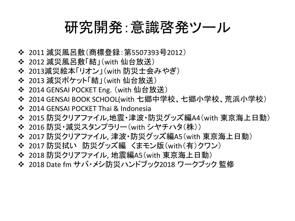## 研究開発:意識啓発ツール

- ❖ 2011 減災風呂敷(商標登録:第5507393号2012)
- 2012 減災風呂敷「結」(with 仙台放送)
- 2013減災絵本「リオン」(with 防災士会みやぎ)
- 2013 減災ポケット「結」(with 仙台放送)
- ◆ 2014 GENSAI POCKET Eng. (with 仙台放送)
- 2014 GENSAI BOOK SCHOOL(with 七郷中学校、七郷小学校、荒浜小学校)
- ❖ 2014 GENSAI POCKET Thai & Indonesia
- 2015 防災クリアファイル,地震・津波・防災グッズ編A4(with 東京海上日動)
- 2016 防災・減災スタンプラリー(with シヤチハタ(株))
- 2017 防災クリアファイル, 津波・防災グッズ編A5(with 東京海上日動)
- 2017 防災拭い 防災グッズ編 くまモン版(with(有)クワン)
- 2018 防災クリアファイル, 地震編A5(with 東京海上日動)
- 2018 Date fm サバ・メシ防災ハンドブック2018 ワークブック 監修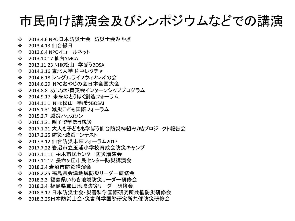## 市民向け講演会及びシンポジウムなどでの講演

- 2013.4.6 NPO日本防災士会 防災士会みやぎ
- ◆ 2013.4.13 仙台縁日
- 2013.6.4 NPOイコールネット
- ◆ 2013.10.17 仙台YMCA
- ◆ 2013.11.23 NHK松山 学ぼうBOSAI
- 2014.3.16 東北大学 片平レクチャー
- ◆ 2014.6.18 シングルライフウィメンズの会
- 2014.6.29 NPOおやじの会日本全国大会
- ◆ 2014.8.8 あしなが育英会インターンシッププログラム
- ◆ 2014.9.17 未来のとうほく創造フォーラム
- ◆ 2014.11.1 NHK松山 学ぼうBOSAI
- 2015.1.31 減災こども国際フォーラム
- 2015.2.7 減災ハッカソン
- ◆ 2016.1.31 親子で学ぼう減災
- 2017.1.21 大人も子どもも学ぼう仙台防災枠組み/結プロジェクト報告会
- 2017.2.25 防災・減災コンテスト
- ◆ 2017.3.12 仙台防災未来フォーラム2017
- ◆ 2017.7.22 岩沼市立玉浦小学校育成会防災キャンプ
- ◆ 2017.11.11 柏木市民センター防災講演会
- ◆ 2017.11.12 長命ヶ丘市民センター防災講演会
- ◆ 2018.2.4 岩沼市防災講演会
- ◆ 2018.2.25 福島県会津地域防災リーダー研修会
- 2018.3.3 福島県いわき地域防災リーダー研修会
- ◆ 2018.3.4 福島県郡山地域防災リーダー研修会
- ◆ 2018.3.17 日本防災士会・災害科学国際研究所共催防災研修会
- ◆ 2018.3.25日本防災士会 -災害科学国際研究所共催防災研修会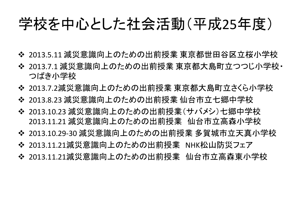## 学校を中心とした社会活動(平成25年度)

- 2013.5.11 減災意識向上のための出前授業 東京都世田谷区立桜小学校
- 2013.7.1 減災意識向上のための出前授業 東京都大島町立つつじ小学校・ つばき小学校
- 2013.7.2減災意識向上のための出前授業 東京都大島町立さくら小学校
- 2013.8.23 減災意識向上のための出前授業 仙台市立七郷中学校
- 2013.10.23 減災意識向上のための出前授業(サバメシ)七郷中学校 2013.11.21 減災意識向上のための出前授業 仙台市立高森小学校
- 2013.10.29-30 減災意識向上のための出前授業 多賀城市立天真小学校
- 2013.11.21減災意識向上のための出前授業 NHK松山防災フェア
- 2013.11.21減災意識向上のための出前授業 仙台市立高森東小学校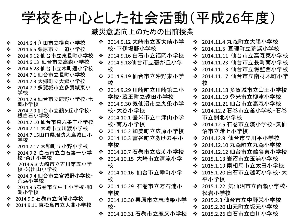## 学校を中心とした社会活動(平成26年度)

- 2014.6.4 角田市立横倉小学校
- 2014.6.5 栗原市立一迫小学校
- 2014.6.12 仙台市立東長町小学校
- 2014.6.13 仙台市立高森小学校
- 2014.6.28 仙台市立木町通小学校
- 2014.7.1 仙台市立長町小学校
- 2014.7.3 大郷町立大郷小学校
- 2014.7.7 多賀城市立多賀城東小 学校
- ❖ 2014.7.8 仙台市立鹿野小学校・七 郷小学校
- 2014.7.9 仙台市立鶴ヶ丘小学校・ 根白石小学校
- 2014.7.10 仙台市東六番丁小学校
- 2014.7.11 大崎市立川渡小学校
- ◆ 2014.7.15山口県周防大島城山小 学校
- 2014.7.17 大和町立小野小学校
- 2014.9.2 白石市立白石第一小学 校・斎川小学校
- 2014.9.3 大崎市立古川第五小学 校・岩出山小学校
- ❖ 2014.9.4 仙台市立宮城野小学校・ 荒浜小学校
- 2014.9.5石巻市立中里小学校・和 渕小学校
- 2014.9.9 石巻市立向陽小学校
- 2014.9.11 東松島市立大曲小学校
- 2014.9.12 大崎市立西大崎小学 校・下伊場野小学校
- 2014.9.16 白石市立福岡小学校
- 2014.9.18仙台市立鶴が丘小学 校
- 2014.9.19 仙台市立沖野東小学 校
- 2014.9.29 川崎町立川崎第二小 学校・蔵王町立遠田小学校
- 2014.9.30 気仙沼市立九条小学 校・大谷小学校
- 2014.10.1 登米市立中津山小学 校・南方小学校
- 2014.10.2 加美町立広原小学校
- 2014.10.3 富谷町立あけの平小 学校
- 2014.10.7 石巻市立広渕小学校
- 2014.10.15 大崎市立清滝小学 校
- ◆ 2014.10.16 仙台市立幸町小学 校
- 2014.10.29 石巻市立万石浦小 学校
- ◆ 2014.10.30 栗原市立志波姫小学 校・
- 2014.10.31 石巻市立鹿又小学校
- 2014.11.4 丸森町立大張小学校
- 2014.11.5 亘理町立荒浜小学校
- 2014.11.11 仙台市立高森東小学校
- 2014.11.23 仙台市立長町南小学校
- 2014.11.13 仙台市立将監西小学校
- 2014.11.17 仙台市立南材木町小学 校
- 2014.11.18 多賀城市立山王小学校
- 2014.11.19 登米市立柳津小学校
- 2014.11.21 仙台市立高森小学校
- ◆ 2014.12.2 石巻市立釜小学校・石巻 市立開北小学校
- 2014.12.5 石巻市立湊小学校・気仙 沼市立階上小学校
- 2014.12.9 仙台市立川平小学校
- 2014.12.10 丸森町立丸森小学校
- 2014.12.12 仙台市立鶴谷東小学校
- 2015.1.13 岩沼市立玉浦小学校
- 2015.1.19 南相馬市立太田小学校
- ❖ 2015.1.20 白石市立越河小学校・大 平小学校
- ❖ 2015.1.22 気仙沼市立面瀬小学校・ 松岩小学校
- 2015.2.3 仙台市立中野栄小学校
- ◆ 2015.2.20 山元町立坂元小学校
- ◆ 2015.2.26 白石市立白川小学校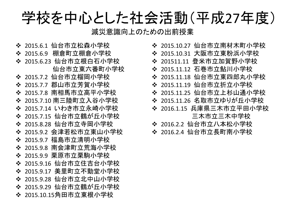学校を中心とした社会活動(平成27年度)

- 2015.6.1 仙台市立松森小学校 ◆ 2015.6.9 棚倉町立棚倉小学校 ◆ 2015.6.23 仙台市立根白石小学校 仙台市立東六番町小学校 2015.7.2 仙台市立榴岡小学校 2015.7.7 郡山市立芳賀小学校 2015.7.8 南相馬市立高平小学校 2015.7.10 南三陸町立入谷小学校 2015.7.14 いわき市立永崎小学校 2015.7.15 仙台市立鶴が丘小学校 2015.8.28 仙台市立寺岡小学校 ◆ 2015.9.2 会津若松市立東山小学校 2015.9.7 福島市立清明小学校 2015.9.8 南会津町立荒海小学校 2015.9.9 栗原市立栗駒小学校 2015.9.16 仙台市立住吉台小学校 2015.9.17 美里町立不動堂小学校 ◆ 2015.9.28 仙台市立北中山小学校 2015.9.29 仙台市立鶴が丘小学校 2015.10.15角田市立東根小学校
- ◆ 2015.10.27 仙台市立南材木町小学校
- ◆ 2015.10.31 大阪市立東粉浜小学校
- 201511.11 登米市立加賀野小学校
- ◆ 2015.11.12 石巻市立鮎川小学校
- ◆ 2015.11.18 仙台市立東四郎丸小学校
- 2015.11.19 仙台市立折立小学校
- ◆ 2015.11.25 仙台市立上杉山通小学校
- ◆ 2015.11.26 名取市立ゆりが丘小学校
- ◆ 2016.1.15 兵庫県三木市立平田小学校 三木市立三木中学校
- 2016.2.2 仙台市立八本松小学校
- ◆ 2016.2.4 仙台市立長町南小学校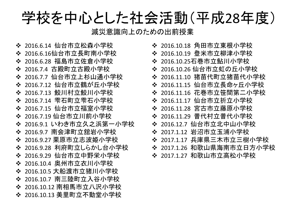学校を中心とした社会活動(平成28年度)

- ◆ 2016.6.14 仙台市立松森小学校 2016.6.16仙台市立長町南小学校 ◆ 2016.6.28 福島市立佐倉小学校 2016.7.4 古殿町立古殿小学校 ◆ 2016.7.7 仙台市立上杉山通小学校 2016.7.12 仙台市立鶴が丘小学校 ◆ 2016.7.13 鮫川村立鮫川小学校 ◆ 2016.7.14 雫石町立雫石小学校 2016.7.15 仙台市立福室小学校 2016.7.19 仙台市立川前小学校 2016.9.1 いわき市立久之浜第一小学校 ◆ 2016.9.7 南会津町立舘岩小学校 2016.9.27 栗原市立志波姫小学校 ◆ 2016.9.28 利府町立しらかし台小学校 2016.9.29 仙台市立中野栄小学校 ◆ 2016.10.4 奥州市立衣川小学校 2016.10.5 大船渡市立猪川小学校 2016.10.7 南三陸町立入谷小学校 2016.10.12 南相馬市立八沢小学校 2016.10.13 美里町立不動堂小学校
- ◆ 2016.10.18 角田市立東根小学校
- ◆ 2016.10.19 登米市立柳津小学校
- 2016.10.25石巻市立鮎川小学校
- ◆ 2016.10.26 仙台市立虹の丘小学校
- ◆ 2016.11.10 猪苗代町立猪苗代小学校
- ◆ 2016.11.15 仙台市立長命ヶ丘小学校
- 2016.11.16 花巻市立笹間第二小学校
- ◆ 2016.11.17 仙台市立折立小学校
- 2016.11.28 宮古市立藤原小学校
- 2016.11.29 普代村立普代小学校
- 2016.12.7 仙台市立北中山小学校
- 2017.1.12 岩沼市立玉浦小学校
- ◆ 2017.1.17 兵庫県三木市立三樹小学校
- ◆ 2017.1.26 和歌山県海南市立日方小学校
- ❖ 2017.1.27 和歌山市立高松小学校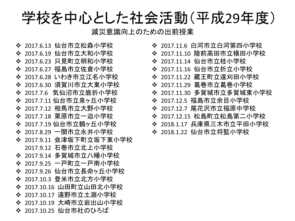学校を中心とした社会活動(平成29年度)

- ◆ 2017.6.13 仙台市立松森小学校
- 2017.6.19 仙台市立大和小学校
- 2017.6.23 只見町立明和小学校 ❖ 2017.6.27 福島市立佐倉小学校
- ◆ 2017.6.28 いわき市立江名小学校
- 
- ◆ 2017.6.30 須賀川市立大東小学校
- 2017.7.6 気仙沼市立鹿折小学校
- ◆ 2017.7.11 仙台市立泉ヶ丘小学校
- 2017.7.12 相馬市立大野小学校
- 2017.7.18 栗原市立一迫小学校
- ◆ 2017.7.19 仙台市立鶴ヶ丘小学校
- 2017.8.29 一関市立永井小学校
- ◆ 2017.9.11 会津坂下町立坂下東小学校 2017.9.12 石巻市立北上小学校
- 2017.9.14 多賀城市立八幡小学校
- 2017.9.25 一戸町立一戸南小学校
- ◆ 2017.9.26 仙台市立長命ヶ丘小学校
- ◆ 2017.10.3 登米市立北方小学校
- 2017.10.16 山田町立山田北小学校
- 2017.10.17 遠野市立土淵小学校
- 2017.10.19 大崎市立岩出山小学校
- ◆ 2017.10.25 仙台市杜のひろば
- ◆ 2017.11.6 白河市立白河第四小学校
- ◆ 2017.11.10 陸前高田市立横田小学校
- 2017.11.14 仙台市立桂小学校
- 2017.11.16 仙台市立折立小学校
- 2017.11.22 蔵王町立遠刈田小学校
- 2017.11.29 葛巻市立葛巻小学校
- 2017.11.30 多賀城市立多賀城東小学校
- 2017.12.5 福島市立余目小学校
- 2017.12.7 尾花沢市立福原中学校
- 2017.12.15 松島町立松島第二小学校
- ◆ 2018.1.17 兵庫県三木市立平田小学校
- 2018.1.22 仙台市立将監小学校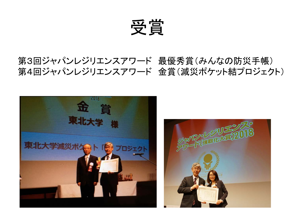受賞

#### 第3回ジャパンレジリエンスアワード 最優秀賞(みんなの防災手帳) 第4回ジャパンレジリエンスアワード 金賞(減災ポケット結プロジェクト)

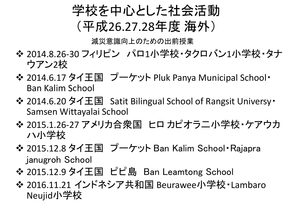

- ◆ 2014.8.26-30 フィリピン パロ1小学校・タクロバン1小学校・タナ ウアン2校
- ◆ 2014.6.17 タイ王国 プーケット Pluk Panya Municipal School· Ban Kalim School
- 2014.6.20 タイ王国 Satit Bilingual School of Rangsit Universy・ Samsen Wittayalai School
- ◆ 2015.1.26-27 アメリカ合衆国 ヒロ カピオラニ 小学校・ケアウカ ハ小学校
- ◆ 2015.12.8 タイ王国 プーケット Ban Kalim School Rajapra janugroh School
- 2015.12.9 タイ王国 ピピ島 Ban Leamtong School
- 2016.11.21 インドネシア共和国 Beurawee小学校・Lambaro Neujid小学校